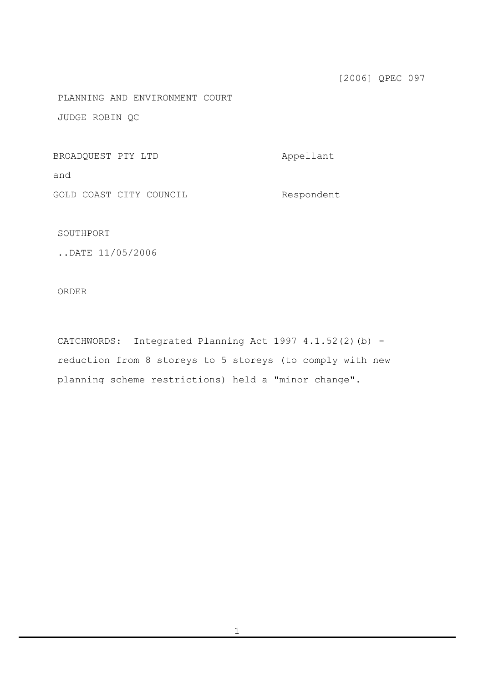[2006] QPEC 097

PLANNING AND ENVIRONMENT COURT

JUDGE ROBIN QC

BROADQUEST PTY LTD Appellant

and

GOLD COAST CITY COUNCIL Respondent

SOUTHPORT

..DATE 11/05/2006

ORDER

CATCHWORDS: Integrated Planning Act 1997 4.1.52(2)(b) reduction from 8 storeys to 5 storeys (to comply with new planning scheme restrictions) held a "minor change".